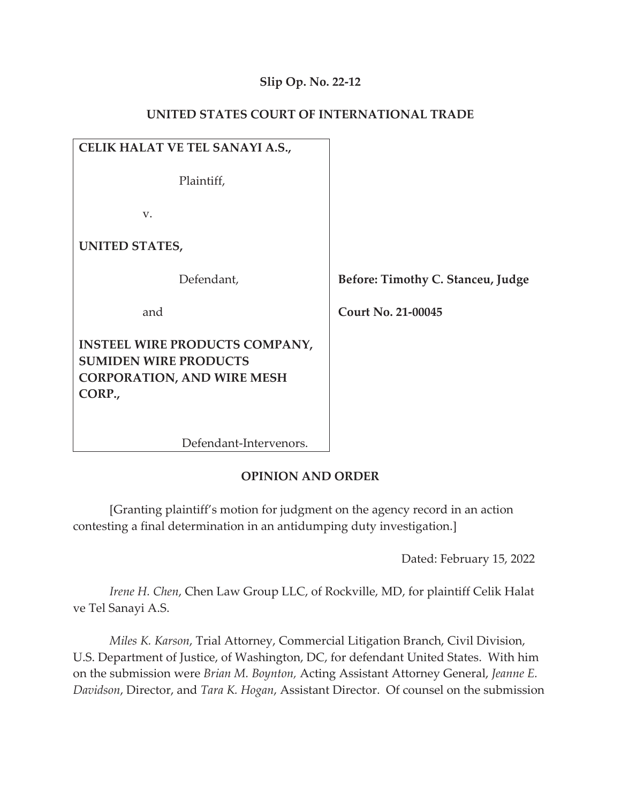## **Slip Op. No. 22-12**

### **UNITED STATES COURT OF INTERNATIONAL TRADE**

| CELIK HALAT VE TEL SANAYI A.S.,                                                                                      |     |
|----------------------------------------------------------------------------------------------------------------------|-----|
| Plaintiff,                                                                                                           |     |
| V.                                                                                                                   |     |
| <b>UNITED STATES,</b>                                                                                                |     |
| Defendant,                                                                                                           | Bef |
| and                                                                                                                  |     |
| <b>INSTEEL WIRE PRODUCTS COMPANY,</b><br><b>SUMIDEN WIRE PRODUCTS</b><br><b>CORPORATION, AND WIRE MESH</b><br>CORP., |     |

fore: Timothy C. Stanceu, Judge

 **Court No. 21-00045** 

Defendant-Intervenors.

## **OPINION AND ORDER**

[Granting plaintiff's motion for judgment on the agency record in an action contesting a final determination in an antidumping duty investigation.]

Dated: February 15, 2022

*Irene H. Chen*, Chen Law Group LLC, of Rockville, MD, for plaintiff Celik Halat ve Tel Sanayi A.S.

*Miles K. Karson*, Trial Attorney, Commercial Litigation Branch, Civil Division, U.S. Department of Justice, of Washington, DC, for defendant United States. With him on the submission were *Brian M. Boynton,* Acting Assistant Attorney General, *Jeanne E. Davidson*, Director, and *Tara K. Hogan*, Assistant Director. Of counsel on the submission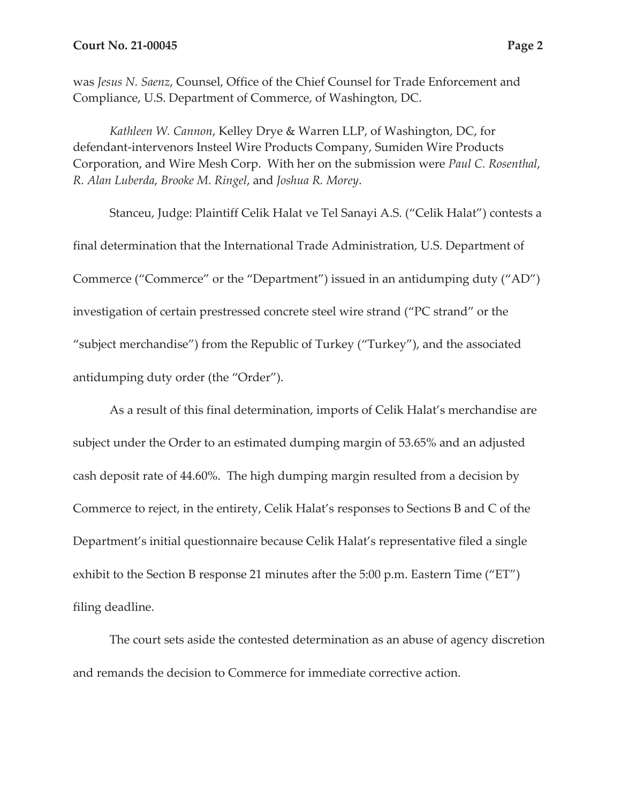was *Jesus N. Saenz*, Counsel, Office of the Chief Counsel for Trade Enforcement and Compliance, U.S. Department of Commerce, of Washington, DC.

*Kathleen W. Cannon*, Kelley Drye & Warren LLP, of Washington, DC, for defendant-intervenors Insteel Wire Products Company, Sumiden Wire Products Corporation, and Wire Mesh Corp. With her on the submission were *Paul C. Rosenthal*, *R. Alan Luberda*, *Brooke M. Ringel*, and *Joshua R. Morey*.

Stanceu, Judge: Plaintiff Celik Halat ve Tel Sanayi A.S. ("Celik Halat") contests a final determination that the International Trade Administration, U.S. Department of Commerce ("Commerce" or the "Department") issued in an antidumping duty ("AD") investigation of certain prestressed concrete steel wire strand ("PC strand" or the "subject merchandise") from the Republic of Turkey ("Turkey"), and the associated antidumping duty order (the "Order").

As a result of this final determination, imports of Celik Halat's merchandise are subject under the Order to an estimated dumping margin of 53.65% and an adjusted cash deposit rate of 44.60%. The high dumping margin resulted from a decision by Commerce to reject, in the entirety, Celik Halat's responses to Sections B and C of the Department's initial questionnaire because Celik Halat's representative filed a single exhibit to the Section B response 21 minutes after the 5:00 p.m. Eastern Time ("ET") filing deadline.

The court sets aside the contested determination as an abuse of agency discretion and remands the decision to Commerce for immediate corrective action.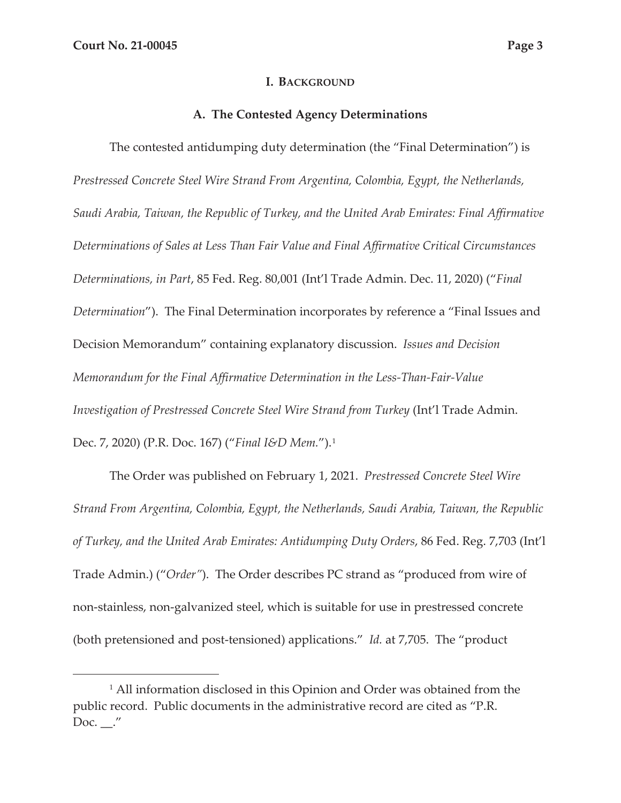#### **I. BACKGROUND**

#### **A. The Contested Agency Determinations**

The contested antidumping duty determination (the "Final Determination") is *Prestressed Concrete Steel Wire Strand From Argentina, Colombia, Egypt, the Netherlands, Saudi Arabia, Taiwan, the Republic of Turkey, and the United Arab Emirates: Final Affirmative Determinations of Sales at Less Than Fair Value and Final Affirmative Critical Circumstances Determinations, in Part*, 85 Fed. Reg. 80,001 (Int'l Trade Admin. Dec. 11, 2020) ("*Final Determination*").The Final Determination incorporates by reference a "Final Issues and Decision Memorandum" containing explanatory discussion. *Issues and Decision Memorandum for the Final Affirmative Determination in the Less-Than-Fair-Value Investigation of Prestressed Concrete Steel Wire Strand from Turkey* (Int'l Trade Admin. Dec. 7, 2020) (P.R. Doc. 167) ("*Final I&D Mem.*").1

The Order was published on February 1, 2021. *Prestressed Concrete Steel Wire Strand From Argentina, Colombia, Egypt, the Netherlands, Saudi Arabia, Taiwan, the Republic of Turkey, and the United Arab Emirates: Antidumping Duty Orders*, 86 Fed. Reg. 7,703 (Int'l Trade Admin.) ("*Order"*). The Order describes PC strand as "produced from wire of non-stainless, non-galvanized steel, which is suitable for use in prestressed concrete (both pretensioned and post-tensioned) applications." *Id.* at 7,705. The "product

<sup>&</sup>lt;sup>1</sup> All information disclosed in this Opinion and Order was obtained from the public record. Public documents in the administrative record are cited as "P.R. Doc.  $\_\cdot''$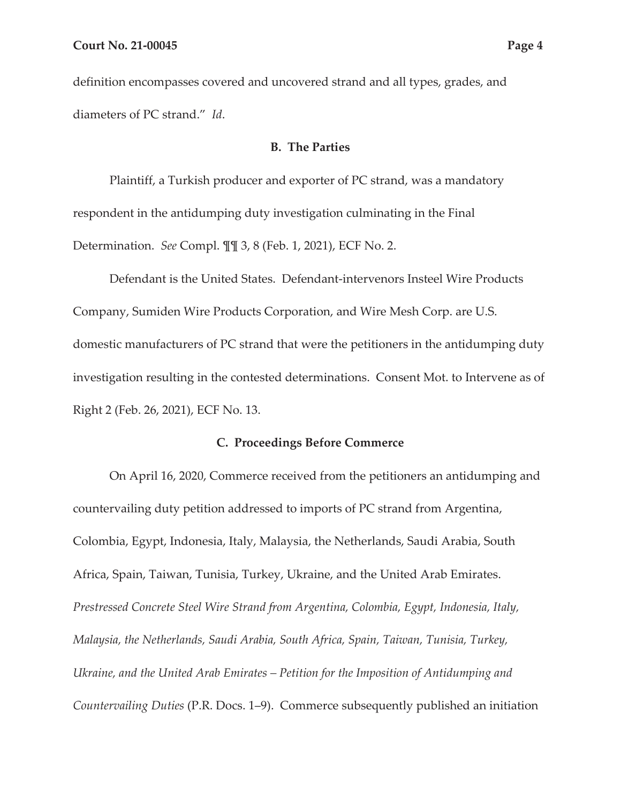definition encompasses covered and uncovered strand and all types, grades, and diameters of PC strand." *Id*.

### **B. The Parties**

Plaintiff, a Turkish producer and exporter of PC strand, was a mandatory respondent in the antidumping duty investigation culminating in the Final Determination. *See* Compl. ¶¶ 3, 8 (Feb. 1, 2021), ECF No. 2.

Defendant is the United States. Defendant-intervenors Insteel Wire Products Company, Sumiden Wire Products Corporation, and Wire Mesh Corp. are U.S. domestic manufacturers of PC strand that were the petitioners in the antidumping duty investigation resulting in the contested determinations. Consent Mot. to Intervene as of Right 2 (Feb. 26, 2021), ECF No. 13.

#### **C. Proceedings Before Commerce**

On April 16, 2020, Commerce received from the petitioners an antidumping and countervailing duty petition addressed to imports of PC strand from Argentina, Colombia, Egypt, Indonesia, Italy, Malaysia, the Netherlands, Saudi Arabia, South Africa, Spain, Taiwan, Tunisia, Turkey, Ukraine, and the United Arab Emirates. *Prestressed Concrete Steel Wire Strand from Argentina, Colombia, Egypt, Indonesia, Italy, Malaysia, the Netherlands, Saudi Arabia, South Africa, Spain, Taiwan, Tunisia, Turkey, Ukraine, and the United Arab Emirates – Petition for the Imposition of Antidumping and Countervailing Duties* (P.R. Docs. 1–9). Commerce subsequently published an initiation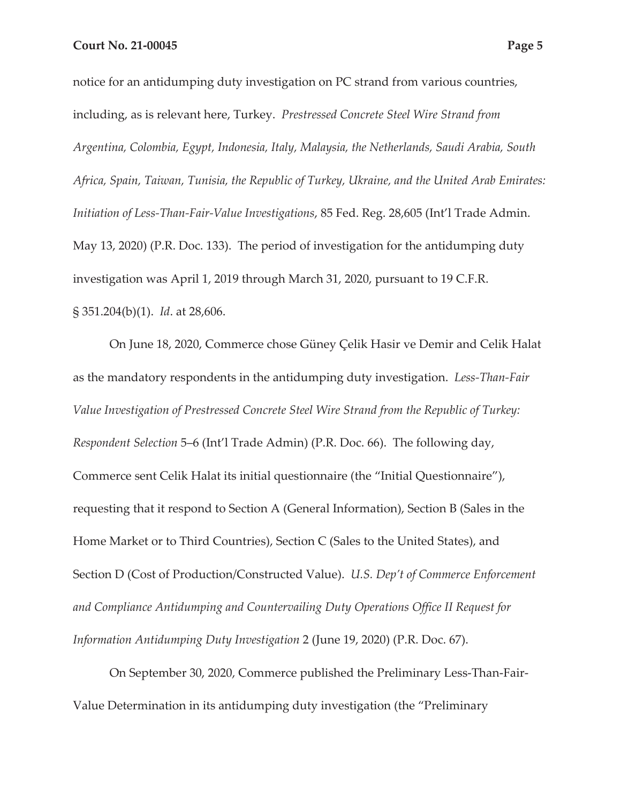notice for an antidumping duty investigation on PC strand from various countries, including, as is relevant here, Turkey. *Prestressed Concrete Steel Wire Strand from Argentina, Colombia, Egypt, Indonesia, Italy, Malaysia, the Netherlands, Saudi Arabia, South Africa, Spain, Taiwan, Tunisia, the Republic of Turkey, Ukraine, and the United Arab Emirates: Initiation of Less-Than-Fair-Value Investigations*, 85 Fed. Reg. 28,605 (Int'l Trade Admin. May 13, 2020) (P.R. Doc. 133). The period of investigation for the antidumping duty investigation was April 1, 2019 through March 31, 2020, pursuant to 19 C.F.R. § 351.204(b)(1). *Id*. at 28,606.

On June 18, 2020, Commerce chose Güney Çelik Hasir ve Demir and Celik Halat as the mandatory respondents in the antidumping duty investigation. *Less-Than-Fair Value Investigation of Prestressed Concrete Steel Wire Strand from the Republic of Turkey: Respondent Selection* 5–6 (Int'l Trade Admin) (P.R. Doc. 66). The following day, Commerce sent Celik Halat its initial questionnaire (the "Initial Questionnaire"), requesting that it respond to Section A (General Information), Section B (Sales in the Home Market or to Third Countries), Section C (Sales to the United States), and Section D (Cost of Production/Constructed Value). *U.S. Dep't of Commerce Enforcement and Compliance Antidumping and Countervailing Duty Operations Office II Request for Information Antidumping Duty Investigation* 2 (June 19, 2020) (P.R. Doc. 67).

On September 30, 2020, Commerce published the Preliminary Less-Than-Fair-Value Determination in its antidumping duty investigation (the "Preliminary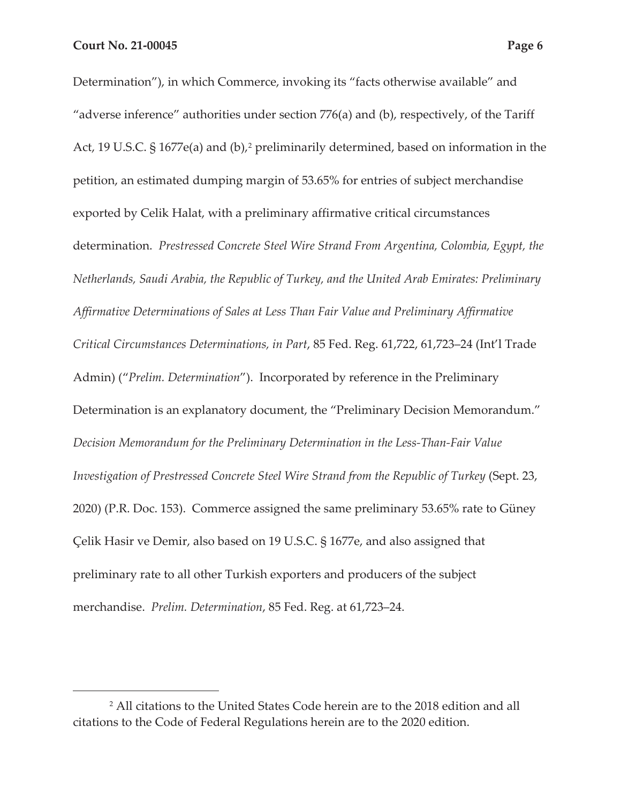Determination"), in which Commerce, invoking its "facts otherwise available" and "adverse inference" authorities under section 776(a) and (b), respectively, of the Tariff Act, 19 U.S.C. § 1677e(a) and (b),<sup>2</sup> preliminarily determined, based on information in the petition, an estimated dumping margin of 53.65% for entries of subject merchandise exported by Celik Halat, with a preliminary affirmative critical circumstances determination. *Prestressed Concrete Steel Wire Strand From Argentina, Colombia, Egypt, the Netherlands, Saudi Arabia, the Republic of Turkey, and the United Arab Emirates: Preliminary Affirmative Determinations of Sales at Less Than Fair Value and Preliminary Affirmative Critical Circumstances Determinations, in Part*, 85 Fed. Reg. 61,722, 61,723–24 (Int'l Trade Admin) ("*Prelim. Determination*"). Incorporated by reference in the Preliminary Determination is an explanatory document, the "Preliminary Decision Memorandum." *Decision Memorandum for the Preliminary Determination in the Less-Than-Fair Value Investigation of Prestressed Concrete Steel Wire Strand from the Republic of Turkey (Sept. 23,* 2020) (P.R. Doc. 153). Commerce assigned the same preliminary 53.65% rate to Güney Çelik Hasir ve Demir, also based on 19 U.S.C. § 1677e, and also assigned that preliminary rate to all other Turkish exporters and producers of the subject merchandise. *Prelim. Determination*, 85 Fed. Reg. at 61,723–24.

<sup>2</sup> All citations to the United States Code herein are to the 2018 edition and all citations to the Code of Federal Regulations herein are to the 2020 edition.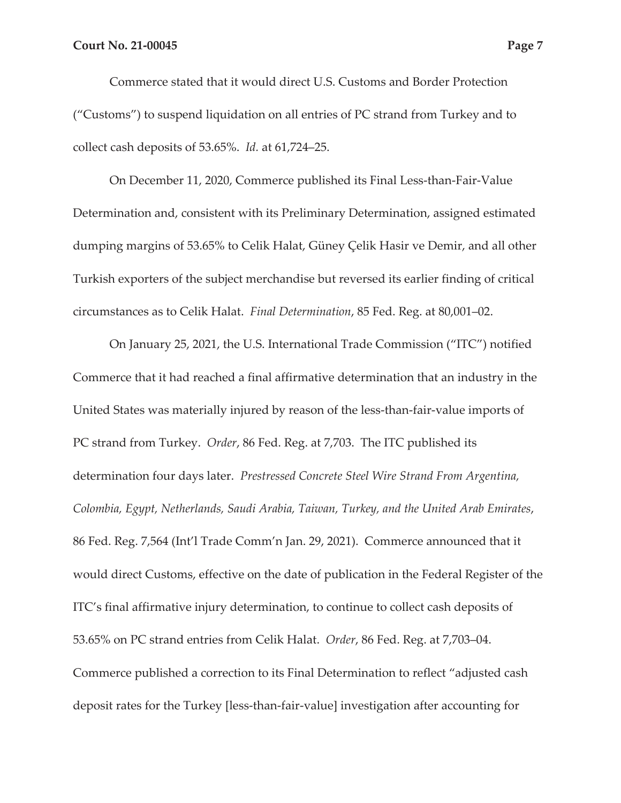Commerce stated that it would direct U.S. Customs and Border Protection ("Customs") to suspend liquidation on all entries of PC strand from Turkey and to collect cash deposits of 53.65%. *Id.* at 61,724–25.

On December 11, 2020, Commerce published its Final Less-than-Fair-Value Determination and, consistent with its Preliminary Determination, assigned estimated dumping margins of 53.65% to Celik Halat, Güney Çelik Hasir ve Demir, and all other Turkish exporters of the subject merchandise but reversed its earlier finding of critical circumstances as to Celik Halat. *Final Determination*, 85 Fed. Reg. at 80,001–02.

On January 25, 2021, the U.S. International Trade Commission ("ITC") notified Commerce that it had reached a final affirmative determination that an industry in the United States was materially injured by reason of the less-than-fair-value imports of PC strand from Turkey. *Order*, 86 Fed. Reg. at 7,703. The ITC published its determination four days later. *Prestressed Concrete Steel Wire Strand From Argentina, Colombia, Egypt, Netherlands, Saudi Arabia, Taiwan, Turkey, and the United Arab Emirates*, 86 Fed. Reg. 7,564 (Int'l Trade Comm'n Jan. 29, 2021). Commerce announced that it would direct Customs, effective on the date of publication in the Federal Register of the ITC's final affirmative injury determination, to continue to collect cash deposits of 53.65% on PC strand entries from Celik Halat. *Order*, 86 Fed. Reg. at 7,703–04. Commerce published a correction to its Final Determination to reflect "adjusted cash deposit rates for the Turkey [less-than-fair-value] investigation after accounting for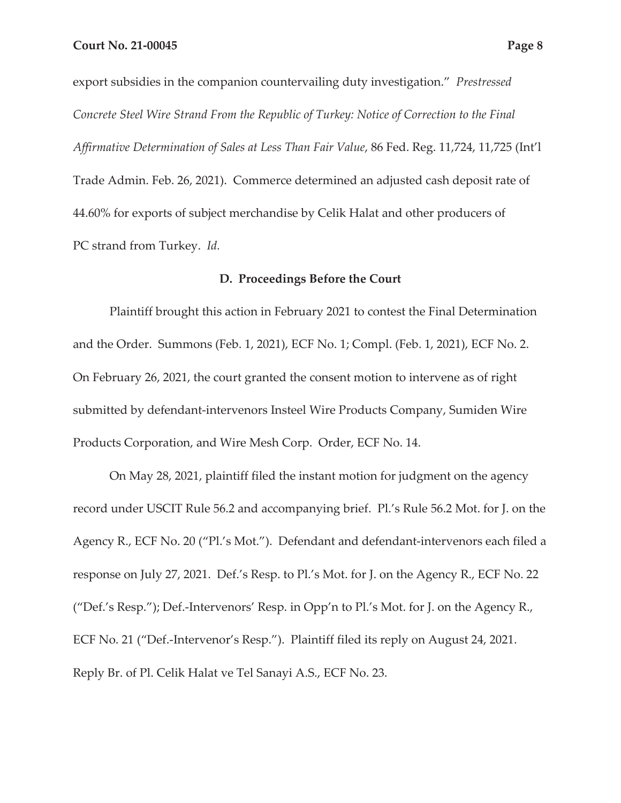export subsidies in the companion countervailing duty investigation." *Prestressed Concrete Steel Wire Strand From the Republic of Turkey: Notice of Correction to the Final Affirmative Determination of Sales at Less Than Fair Value*, 86 Fed. Reg. 11,724, 11,725 (Int'l Trade Admin. Feb. 26, 2021). Commerce determined an adjusted cash deposit rate of 44.60% for exports of subject merchandise by Celik Halat and other producers of PC strand from Turkey. *Id.*

### **D. Proceedings Before the Court**

Plaintiff brought this action in February 2021 to contest the Final Determination and the Order. Summons (Feb. 1, 2021), ECF No. 1; Compl. (Feb. 1, 2021), ECF No. 2. On February 26, 2021, the court granted the consent motion to intervene as of right submitted by defendant-intervenors Insteel Wire Products Company, Sumiden Wire Products Corporation, and Wire Mesh Corp. Order, ECF No. 14.

On May 28, 2021, plaintiff filed the instant motion for judgment on the agency record under USCIT Rule 56.2 and accompanying brief. Pl.'s Rule 56.2 Mot. for J. on the Agency R., ECF No. 20 ("Pl.'s Mot."). Defendant and defendant-intervenors each filed a response on July 27, 2021. Def.'s Resp. to Pl.'s Mot. for J. on the Agency R., ECF No. 22 ("Def.'s Resp."); Def.-Intervenors' Resp. in Opp'n to Pl.'s Mot. for J. on the Agency R., ECF No. 21 ("Def.-Intervenor's Resp."). Plaintiff filed its reply on August 24, 2021. Reply Br. of Pl. Celik Halat ve Tel Sanayi A.S., ECF No. 23.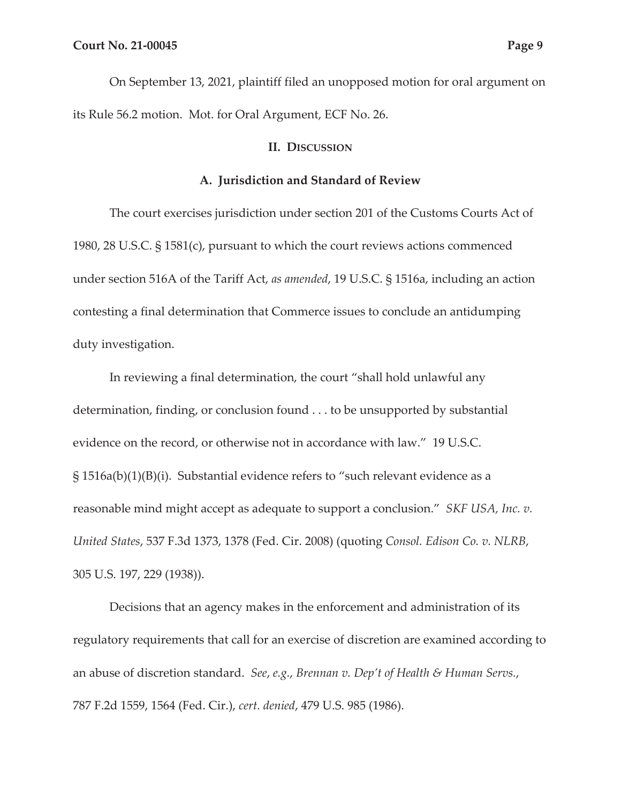On September 13, 2021, plaintiff filed an unopposed motion for oral argument on its Rule 56.2 motion. Mot. for Oral Argument, ECF No. 26.

#### **II. DISCUSSION**

#### **A. Jurisdiction and Standard of Review**

The court exercises jurisdiction under section 201 of the Customs Courts Act of 1980, 28 U.S.C. § 1581(c), pursuant to which the court reviews actions commenced under section 516A of the Tariff Act, *as amended*, 19 U.S.C. § 1516a, including an action contesting a final determination that Commerce issues to conclude an antidumping duty investigation.

In reviewing a final determination, the court "shall hold unlawful any determination, finding, or conclusion found . . . to be unsupported by substantial evidence on the record, or otherwise not in accordance with law." 19 U.S.C. § 1516a(b)(1)(B)(i). Substantial evidence refers to "such relevant evidence as a reasonable mind might accept as adequate to support a conclusion." *SKF USA, Inc. v. United States*, 537 F.3d 1373, 1378 (Fed. Cir. 2008) (quoting *Consol. Edison Co. v. NLRB*, 305 U.S. 197, 229 (1938)).

Decisions that an agency makes in the enforcement and administration of its regulatory requirements that call for an exercise of discretion are examined according to an abuse of discretion standard. *See*, *e.g.*, *Brennan v. Dep't of Health & Human Servs.*, 787 F.2d 1559, 1564 (Fed. Cir.), *cert. denied*, 479 U.S. 985 (1986).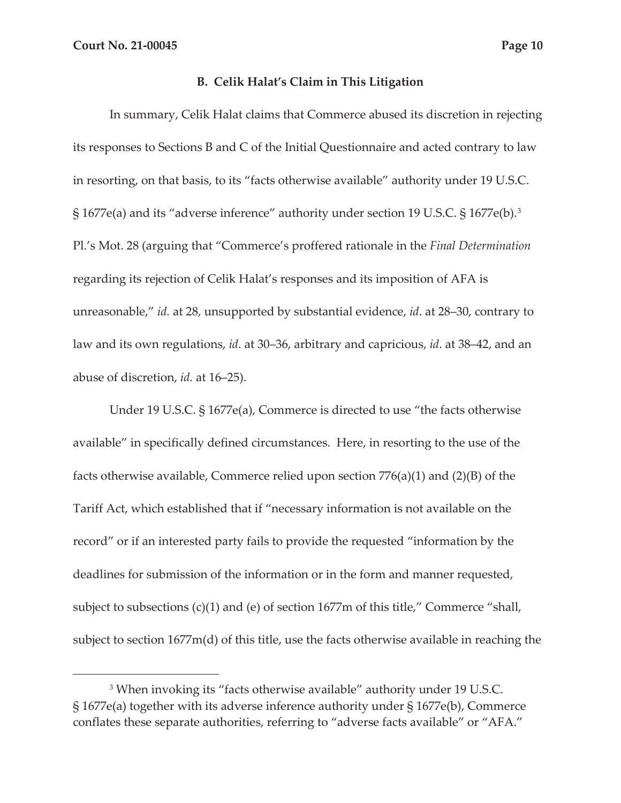### **B. Celik Halat's Claim in This Litigation**

In summary, Celik Halat claims that Commerce abused its discretion in rejecting its responses to Sections B and C of the Initial Questionnaire and acted contrary to law in resorting, on that basis, to its "facts otherwise available" authority under 19 U.S.C. § 1677e(a) and its "adverse inference" authority under section 19 U.S.C. § 1677e(b).3 Pl.'s Mot. 28 (arguing that "Commerce's proffered rationale in the *Final Determination*  regarding its rejection of Celik Halat's responses and its imposition of AFA is unreasonable," *id.* at 28, unsupported by substantial evidence, *id*. at 28–30, contrary to law and its own regulations, *id*. at 30–36, arbitrary and capricious, *id*. at 38–42, and an abuse of discretion, *id.* at 16–25).

Under 19 U.S.C. § 1677e(a), Commerce is directed to use "the facts otherwise available" in specifically defined circumstances. Here, in resorting to the use of the facts otherwise available, Commerce relied upon section  $776(a)(1)$  and  $(2)(B)$  of the Tariff Act, which established that if "necessary information is not available on the record" or if an interested party fails to provide the requested "information by the deadlines for submission of the information or in the form and manner requested, subject to subsections (c)(1) and (e) of section 1677m of this title," Commerce "shall, subject to section 1677m(d) of this title, use the facts otherwise available in reaching the

<sup>3</sup> When invoking its "facts otherwise available" authority under 19 U.S.C. § 1677e(a) together with its adverse inference authority under § 1677e(b), Commerce conflates these separate authorities, referring to "adverse facts available" or "AFA."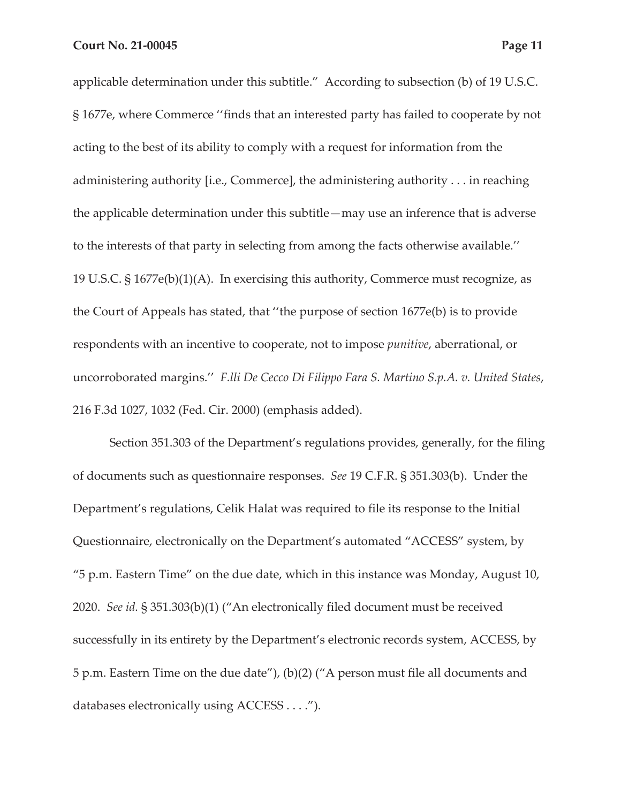applicable determination under this subtitle."According to subsection (b) of 19 U.S.C. § 1677e, where Commerce ''finds that an interested party has failed to cooperate by not acting to the best of its ability to comply with a request for information from the administering authority [i.e., Commerce], the administering authority . . . in reaching the applicable determination under this subtitle—may use an inference that is adverse to the interests of that party in selecting from among the facts otherwise available.'' 19 U.S.C. § 1677e(b)(1)(A). In exercising this authority, Commerce must recognize, as the Court of Appeals has stated, that ''the purpose of section 1677e(b) is to provide respondents with an incentive to cooperate, not to impose *punitive*, aberrational, or uncorroborated margins.'' *F.lli De Cecco Di Filippo Fara S. Martino S.p.A. v. United States*, 216 F.3d 1027, 1032 (Fed. Cir. 2000) (emphasis added).

Section 351.303 of the Department's regulations provides, generally, for the filing of documents such as questionnaire responses. *See* 19 C.F.R. § 351.303(b). Under the Department's regulations, Celik Halat was required to file its response to the Initial Questionnaire, electronically on the Department's automated "ACCESS" system, by "5 p.m. Eastern Time" on the due date, which in this instance was Monday, August 10, 2020. *See id.* § 351.303(b)(1) ("An electronically filed document must be received successfully in its entirety by the Department's electronic records system, ACCESS, by 5 p.m. Eastern Time on the due date"), (b)(2) ("A person must file all documents and databases electronically using ACCESS . . . .").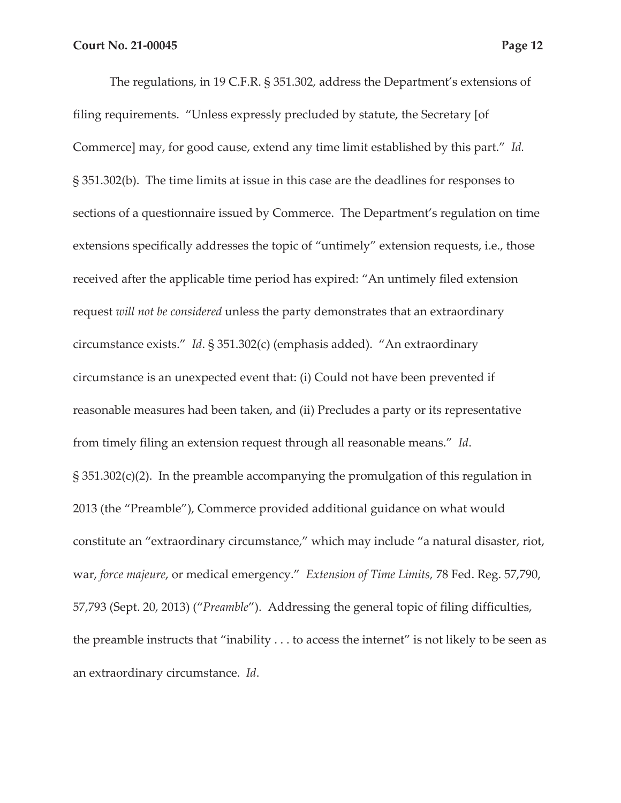The regulations, in 19 C.F.R. § 351.302, address the Department's extensions of filing requirements. "Unless expressly precluded by statute, the Secretary [of Commerce] may, for good cause, extend any time limit established by this part." *Id.* § 351.302(b). The time limits at issue in this case are the deadlines for responses to sections of a questionnaire issued by Commerce. The Department's regulation on time extensions specifically addresses the topic of "untimely" extension requests, i.e., those received after the applicable time period has expired: "An untimely filed extension request *will not be considered* unless the party demonstrates that an extraordinary circumstance exists." *Id*. § 351.302(c) (emphasis added). "An extraordinary circumstance is an unexpected event that: (i) Could not have been prevented if reasonable measures had been taken, and (ii) Precludes a party or its representative from timely filing an extension request through all reasonable means." *Id*. § 351.302(c)(2). In the preamble accompanying the promulgation of this regulation in 2013 (the "Preamble"), Commerce provided additional guidance on what would constitute an "extraordinary circumstance," which may include "a natural disaster, riot, war, *force majeure*, or medical emergency." *Extension of Time Limits,* 78 Fed. Reg. 57,790, 57,793 (Sept. 20, 2013) ("*Preamble*"). Addressing the general topic of filing difficulties, the preamble instructs that "inability . . . to access the internet" is not likely to be seen as an extraordinary circumstance. *Id*.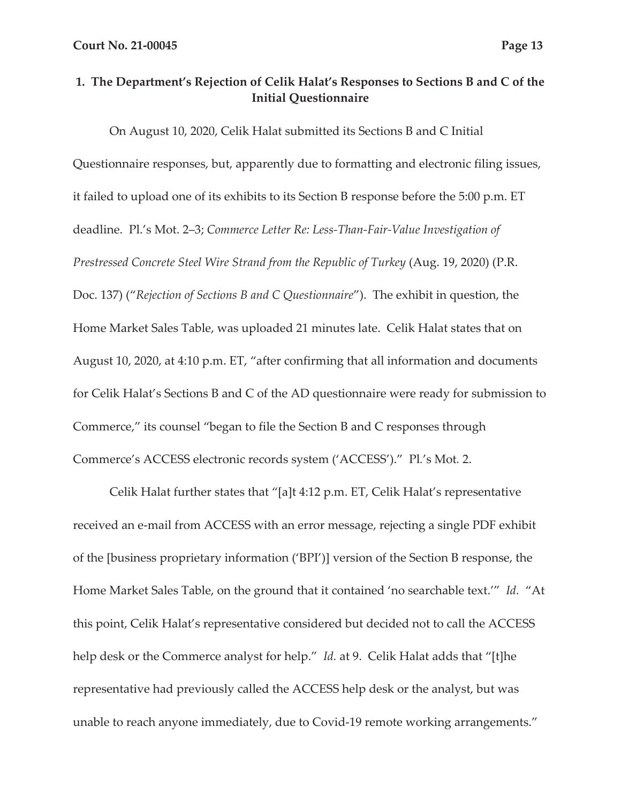# **1. The Department's Rejection of Celik Halat's Responses to Sections B and C of the Initial Questionnaire**

On August 10, 2020, Celik Halat submitted its Sections B and C Initial Questionnaire responses, but, apparently due to formatting and electronic filing issues, it failed to upload one of its exhibits to its Section B response before the 5:00 p.m. ET deadline. Pl.'s Mot. 2–3; *Commerce Letter Re: Less-Than-Fair-Value Investigation of Prestressed Concrete Steel Wire Strand from the Republic of Turkey (Aug. 19, 2020) (P.R.* Doc. 137) ("*Rejection of Sections B and C Questionnaire*"). The exhibit in question, the Home Market Sales Table, was uploaded 21 minutes late. Celik Halat states that on August 10, 2020, at 4:10 p.m. ET, "after confirming that all information and documents for Celik Halat's Sections B and C of the AD questionnaire were ready for submission to Commerce," its counsel "began to file the Section B and C responses through Commerce's ACCESS electronic records system ('ACCESS')." Pl*.*'s Mot*.* 2.

Celik Halat further states that "[a]t 4:12 p.m. ET, Celik Halat's representative received an e-mail from ACCESS with an error message, rejecting a single PDF exhibit of the [business proprietary information ('BPI')] version of the Section B response, the Home Market Sales Table, on the ground that it contained 'no searchable text.'" *Id.* "At this point, Celik Halat's representative considered but decided not to call the ACCESS help desk or the Commerce analyst for help." *Id.* at 9. Celik Halat adds that "[t]he representative had previously called the ACCESS help desk or the analyst, but was unable to reach anyone immediately, due to Covid-19 remote working arrangements."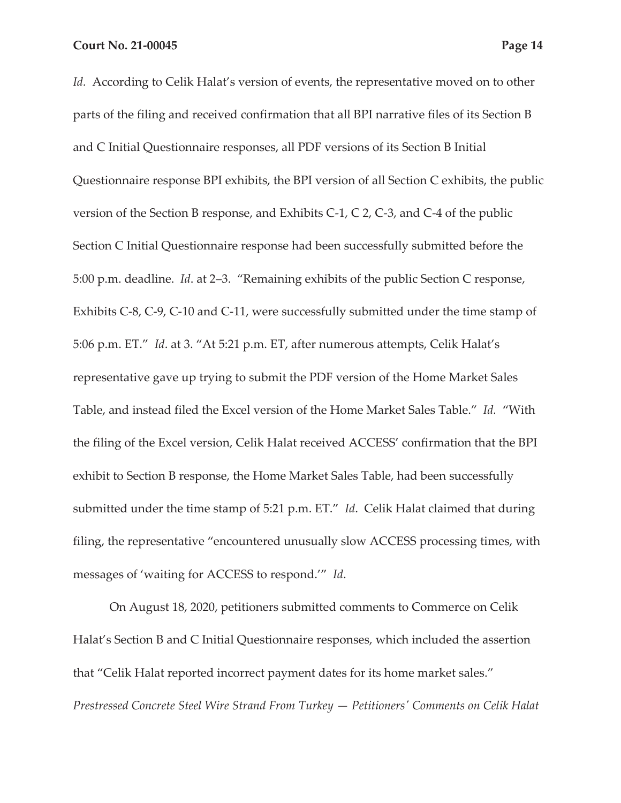Id. According to Celik Halat's version of events, the representative moved on to other parts of the filing and received confirmation that all BPI narrative files of its Section B and C Initial Questionnaire responses, all PDF versions of its Section B Initial Questionnaire response BPI exhibits, the BPI version of all Section C exhibits, the public version of the Section B response, and Exhibits C-1, C 2, C-3, and C-4 of the public Section C Initial Questionnaire response had been successfully submitted before the 5:00 p.m. deadline. *Id*. at 2–3. "Remaining exhibits of the public Section C response, Exhibits C-8, C-9, C-10 and C-11, were successfully submitted under the time stamp of 5:06 p.m. ET." *Id*. at 3. "At 5:21 p.m. ET, after numerous attempts, Celik Halat's representative gave up trying to submit the PDF version of the Home Market Sales Table, and instead filed the Excel version of the Home Market Sales Table." *Id.* "With the filing of the Excel version, Celik Halat received ACCESS' confirmation that the BPI exhibit to Section B response, the Home Market Sales Table, had been successfully submitted under the time stamp of 5:21 p.m. ET." *Id*. Celik Halat claimed that during filing, the representative "encountered unusually slow ACCESS processing times, with messages of 'waiting for ACCESS to respond.'" *Id*.

On August 18, 2020, petitioners submitted comments to Commerce on Celik Halat's Section B and C Initial Questionnaire responses, which included the assertion that "Celik Halat reported incorrect payment dates for its home market sales." *Prestressed Concrete Steel Wire Strand From Turkey — Petitioners' Comments on Celik Halat*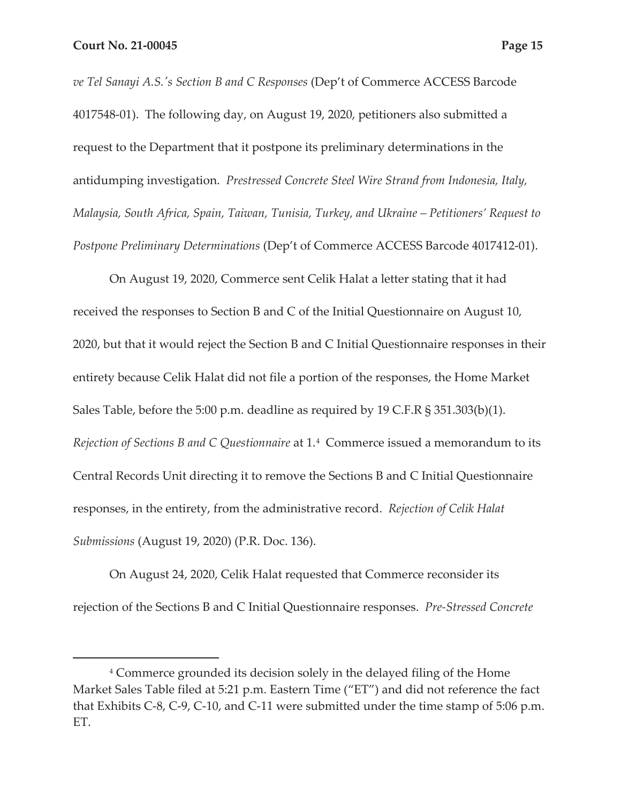*ve Tel Sanayi A.S.'s Section B and C Responses* (Dep't of Commerce ACCESS Barcode 4017548-01). The following day, on August 19, 2020, petitioners also submitted a request to the Department that it postpone its preliminary determinations in the antidumping investigation. *Prestressed Concrete Steel Wire Strand from Indonesia, Italy, Malaysia, South Africa, Spain, Taiwan, Tunisia, Turkey, and Ukraine – Petitioners' Request to Postpone Preliminary Determinations* (Dep't of Commerce ACCESS Barcode 4017412-01).

On August 19, 2020, Commerce sent Celik Halat a letter stating that it had received the responses to Section B and C of the Initial Questionnaire on August 10, 2020, but that it would reject the Section B and C Initial Questionnaire responses in their entirety because Celik Halat did not file a portion of the responses, the Home Market Sales Table, before the 5:00 p.m. deadline as required by 19 C.F.R § 351.303(b)(1). *Rejection of Sections B and C Questionnaire* at 1.4 Commerce issued a memorandum to its Central Records Unit directing it to remove the Sections B and C Initial Questionnaire responses, in the entirety, from the administrative record. *Rejection of Celik Halat Submissions* (August 19, 2020) (P.R. Doc. 136).

On August 24, 2020, Celik Halat requested that Commerce reconsider its rejection of the Sections B and C Initial Questionnaire responses. *Pre-Stressed Concrete* 

<sup>4</sup> Commerce grounded its decision solely in the delayed filing of the Home Market Sales Table filed at 5:21 p.m. Eastern Time ("ET") and did not reference the fact that Exhibits C-8, C-9, C-10, and C-11 were submitted under the time stamp of 5:06 p.m. ET.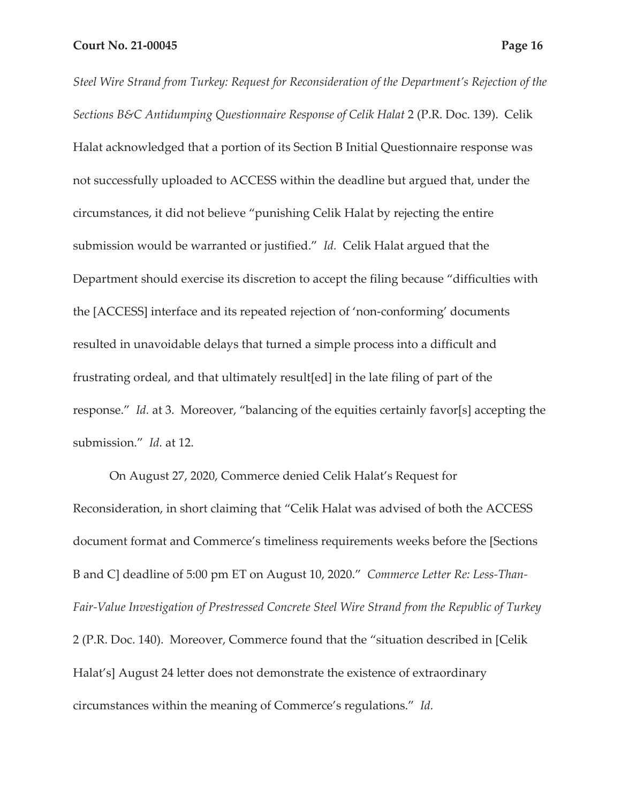*Steel Wire Strand from Turkey: Request for Reconsideration of the Department's Rejection of the Sections B&C Antidumping Questionnaire Response of Celik Halat* 2 (P.R. Doc. 139). Celik Halat acknowledged that a portion of its Section B Initial Questionnaire response was not successfully uploaded to ACCESS within the deadline but argued that, under the circumstances, it did not believe "punishing Celik Halat by rejecting the entire submission would be warranted or justified." *Id.* Celik Halat argued that the Department should exercise its discretion to accept the filing because "difficulties with the [ACCESS] interface and its repeated rejection of 'non-conforming' documents resulted in unavoidable delays that turned a simple process into a difficult and frustrating ordeal, and that ultimately result[ed] in the late filing of part of the response." *Id.* at 3. Moreover, "balancing of the equities certainly favor[s] accepting the submission." *Id.* at 12.

On August 27, 2020, Commerce denied Celik Halat's Request for Reconsideration, in short claiming that "Celik Halat was advised of both the ACCESS document format and Commerce's timeliness requirements weeks before the [Sections B and C] deadline of 5:00 pm ET on August 10, 2020." *Commerce Letter Re: Less-Than-Fair-Value Investigation of Prestressed Concrete Steel Wire Strand from the Republic of Turkey*  2 (P.R. Doc. 140). Moreover, Commerce found that the "situation described in [Celik Halat's] August 24 letter does not demonstrate the existence of extraordinary circumstances within the meaning of Commerce's regulations." *Id.*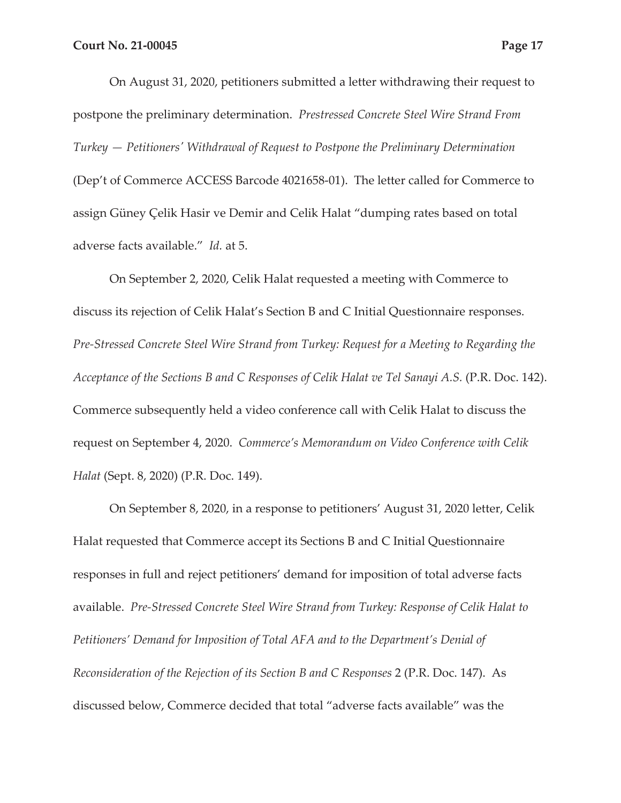On August 31, 2020, petitioners submitted a letter withdrawing their request to postpone the preliminary determination. *Prestressed Concrete Steel Wire Strand From Turkey — Petitioners' Withdrawal of Request to Postpone the Preliminary Determination* (Dep't of Commerce ACCESS Barcode 4021658-01). The letter called for Commerce to assign Güney Çelik Hasir ve Demir and Celik Halat "dumping rates based on total adverse facts available." *Id.* at 5.

On September 2, 2020, Celik Halat requested a meeting with Commerce to discuss its rejection of Celik Halat's Section B and C Initial Questionnaire responses. *Pre-Stressed Concrete Steel Wire Strand from Turkey: Request for a Meeting to Regarding the Acceptance of the Sections B and C Responses of Celik Halat ve Tel Sanayi A.S.* (P.R. Doc. 142). Commerce subsequently held a video conference call with Celik Halat to discuss the request on September 4, 2020. *Commerce's Memorandum on Video Conference with Celik Halat* (Sept. 8, 2020) (P.R. Doc. 149).

On September 8, 2020, in a response to petitioners' August 31, 2020 letter, Celik Halat requested that Commerce accept its Sections B and C Initial Questionnaire responses in full and reject petitioners' demand for imposition of total adverse facts available. *Pre-Stressed Concrete Steel Wire Strand from Turkey: Response of Celik Halat to Petitioners' Demand for Imposition of Total AFA and to the Department's Denial of Reconsideration of the Rejection of its Section B and C Responses* 2 (P.R. Doc. 147). As discussed below, Commerce decided that total "adverse facts available" was the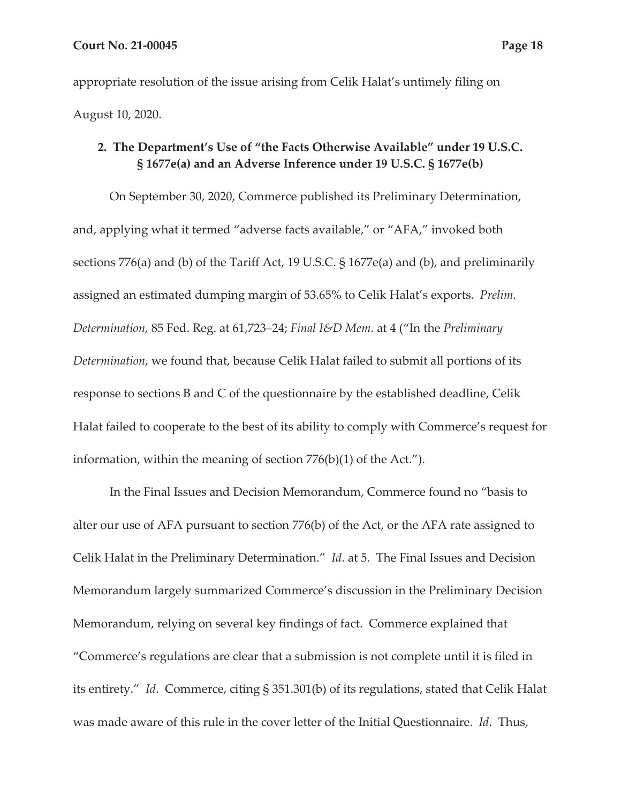appropriate resolution of the issue arising from Celik Halat's untimely filing on August 10, 2020.

# **2. The Department's Use of "the Facts Otherwise Available" under 19 U.S.C. § 1677e(a) and an Adverse Inference under 19 U.S.C. § 1677e(b)**

On September 30, 2020, Commerce published its Preliminary Determination, and, applying what it termed "adverse facts available," or "AFA," invoked both sections 776(a) and (b) of the Tariff Act, 19 U.S.C. § 1677e(a) and (b), and preliminarily assigned an estimated dumping margin of 53.65% to Celik Halat's exports. *Prelim. Determination,* 85 Fed. Reg. at 61,723–24; *Final I&D Mem.* at 4 ("In the *Preliminary Determination*, we found that, because Celik Halat failed to submit all portions of its response to sections B and C of the questionnaire by the established deadline, Celik Halat failed to cooperate to the best of its ability to comply with Commerce's request for information, within the meaning of section 776(b)(1) of the Act.").

In the Final Issues and Decision Memorandum, Commerce found no "basis to alter our use of AFA pursuant to section 776(b) of the Act, or the AFA rate assigned to Celik Halat in the Preliminary Determination." *Id*. at 5. The Final Issues and Decision Memorandum largely summarized Commerce's discussion in the Preliminary Decision Memorandum, relying on several key findings of fact. Commerce explained that "Commerce's regulations are clear that a submission is not complete until it is filed in its entirety." *Id*. Commerce, citing § 351.301(b) of its regulations, stated that Celik Halat was made aware of this rule in the cover letter of the Initial Questionnaire. *Id*. Thus,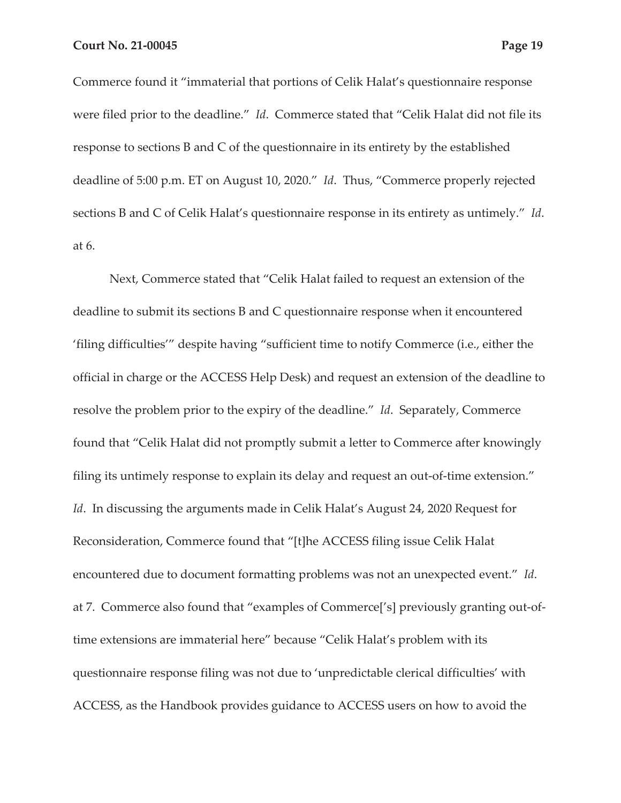Commerce found it "immaterial that portions of Celik Halat's questionnaire response were filed prior to the deadline." *Id*. Commerce stated that "Celik Halat did not file its response to sections B and C of the questionnaire in its entirety by the established deadline of 5:00 p.m. ET on August 10, 2020." *Id*. Thus, "Commerce properly rejected

sections B and C of Celik Halat's questionnaire response in its entirety as untimely." *Id*.

at 6.

Next, Commerce stated that "Celik Halat failed to request an extension of the deadline to submit its sections B and C questionnaire response when it encountered 'filing difficulties'" despite having "sufficient time to notify Commerce (i.e., either the official in charge or the ACCESS Help Desk) and request an extension of the deadline to resolve the problem prior to the expiry of the deadline." *Id*. Separately, Commerce found that "Celik Halat did not promptly submit a letter to Commerce after knowingly filing its untimely response to explain its delay and request an out-of-time extension." *Id*. In discussing the arguments made in Celik Halat's August 24, 2020 Request for Reconsideration, Commerce found that "[t]he ACCESS filing issue Celik Halat encountered due to document formatting problems was not an unexpected event." *Id*. at 7. Commerce also found that "examples of Commerce['s] previously granting out-oftime extensions are immaterial here" because "Celik Halat's problem with its questionnaire response filing was not due to 'unpredictable clerical difficulties' with ACCESS, as the Handbook provides guidance to ACCESS users on how to avoid the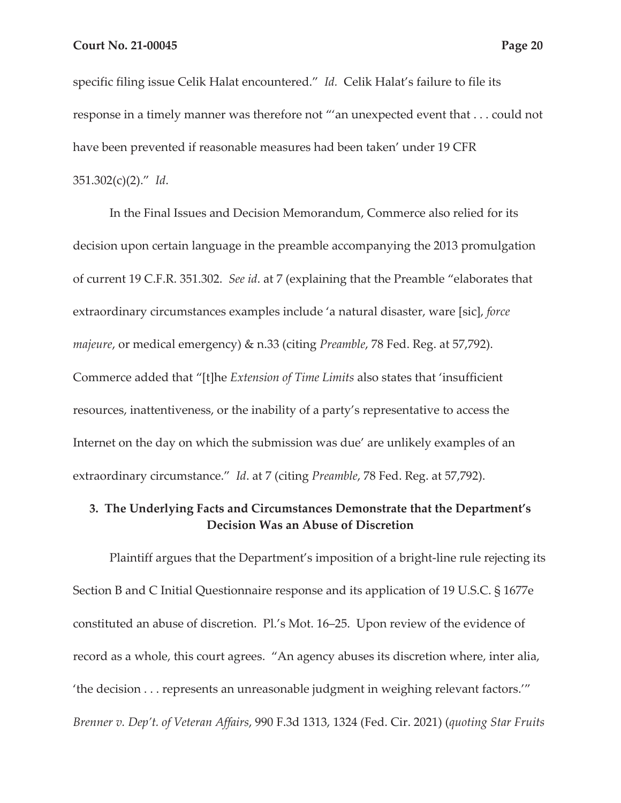specific filing issue Celik Halat encountered." *Id.* Celik Halat's failure to file its response in a timely manner was therefore not "'an unexpected event that . . . could not have been prevented if reasonable measures had been taken' under 19 CFR 351.302(c)(2)." *Id*.

In the Final Issues and Decision Memorandum, Commerce also relied for its decision upon certain language in the preamble accompanying the 2013 promulgation of current 19 C.F.R. 351.302. *See id*. at 7 (explaining that the Preamble "elaborates that extraordinary circumstances examples include 'a natural disaster, ware [sic], *force majeure*, or medical emergency) & n.33 (citing *Preamble*, 78 Fed. Reg. at 57,792). Commerce added that "[t]he *Extension of Time Limits* also states that 'insufficient resources, inattentiveness, or the inability of a party's representative to access the Internet on the day on which the submission was due' are unlikely examples of an extraordinary circumstance." *Id*. at 7 (citing *Preamble*, 78 Fed. Reg. at 57,792).

## **3. The Underlying Facts and Circumstances Demonstrate that the Department's Decision Was an Abuse of Discretion**

Plaintiff argues that the Department's imposition of a bright-line rule rejecting its Section B and C Initial Questionnaire response and its application of 19 U.S.C. § 1677e constituted an abuse of discretion. Pl.'s Mot. 16–25. Upon review of the evidence of record as a whole, this court agrees. "An agency abuses its discretion where, inter alia, 'the decision . . . represents an unreasonable judgment in weighing relevant factors.'" *Brenner v. Dep't. of Veteran Affairs*, 990 F.3d 1313, 1324 (Fed. Cir. 2021) (*quoting Star Fruits*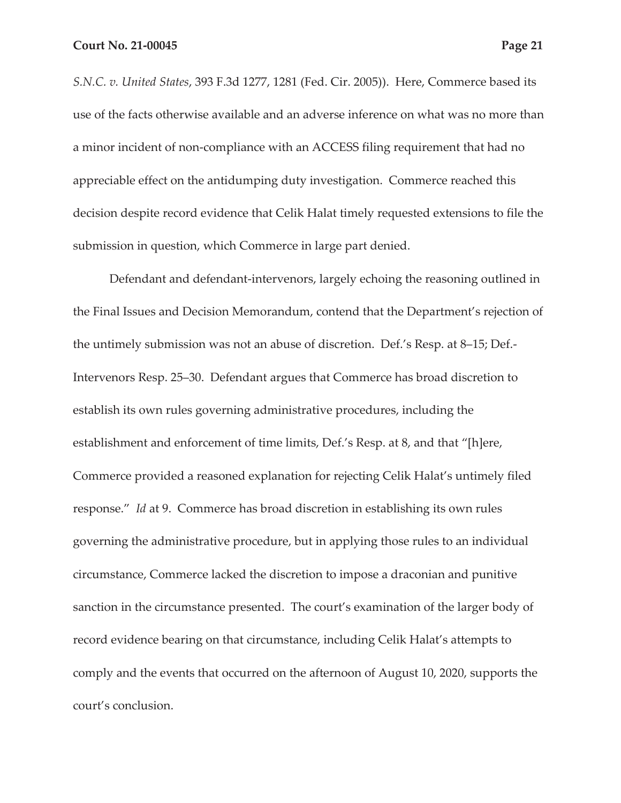*S.N.C. v. United States*, 393 F.3d 1277, 1281 (Fed. Cir. 2005)). Here, Commerce based its use of the facts otherwise available and an adverse inference on what was no more than a minor incident of non-compliance with an ACCESS filing requirement that had no appreciable effect on the antidumping duty investigation. Commerce reached this decision despite record evidence that Celik Halat timely requested extensions to file the submission in question, which Commerce in large part denied.

Defendant and defendant-intervenors, largely echoing the reasoning outlined in the Final Issues and Decision Memorandum, contend that the Department's rejection of the untimely submission was not an abuse of discretion. Def.'s Resp. at 8–15; Def.- Intervenors Resp. 25–30. Defendant argues that Commerce has broad discretion to establish its own rules governing administrative procedures, including the establishment and enforcement of time limits, Def.'s Resp. at 8, and that "[h]ere, Commerce provided a reasoned explanation for rejecting Celik Halat's untimely filed response." *Id* at 9. Commerce has broad discretion in establishing its own rules governing the administrative procedure, but in applying those rules to an individual circumstance, Commerce lacked the discretion to impose a draconian and punitive sanction in the circumstance presented. The court's examination of the larger body of record evidence bearing on that circumstance, including Celik Halat's attempts to comply and the events that occurred on the afternoon of August 10, 2020, supports the court's conclusion.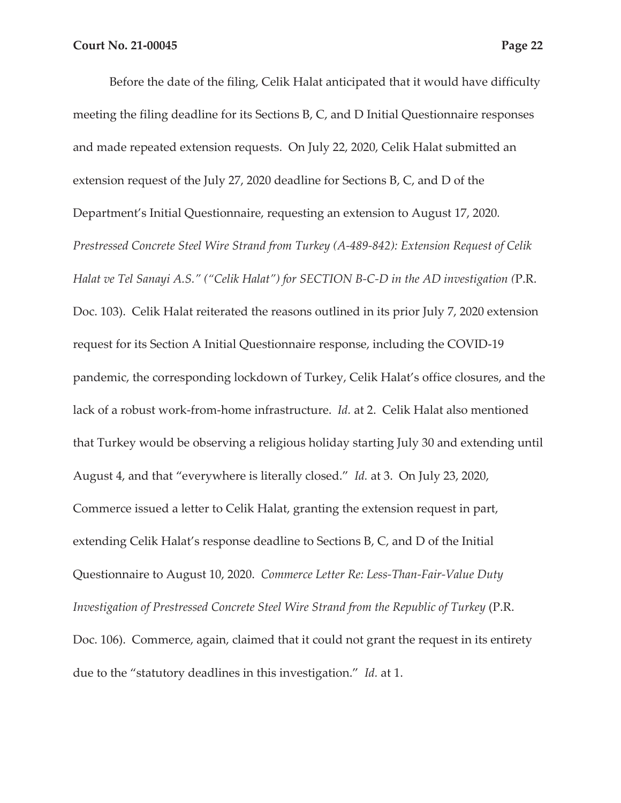Before the date of the filing, Celik Halat anticipated that it would have difficulty meeting the filing deadline for its Sections B, C, and D Initial Questionnaire responses and made repeated extension requests. On July 22, 2020, Celik Halat submitted an extension request of the July 27, 2020 deadline for Sections B, C, and D of the Department's Initial Questionnaire, requesting an extension to August 17, 2020*. Prestressed Concrete Steel Wire Strand from Turkey (A-489-842): Extension Request of Celik Halat ve Tel Sanayi A.S." ("Celik Halat") for SECTION B-C-D in the AD investigation (*P.R. Doc. 103). Celik Halat reiterated the reasons outlined in its prior July 7, 2020 extension request for its Section A Initial Questionnaire response, including the COVID-19 pandemic, the corresponding lockdown of Turkey, Celik Halat's office closures, and the lack of a robust work-from-home infrastructure. *Id.* at 2. Celik Halat also mentioned that Turkey would be observing a religious holiday starting July 30 and extending until August 4, and that "everywhere is literally closed." *Id.* at 3. On July 23, 2020, Commerce issued a letter to Celik Halat, granting the extension request in part, extending Celik Halat's response deadline to Sections B, C, and D of the Initial Questionnaire to August 10, 2020. *Commerce Letter Re: Less-Than-Fair-Value Duty Investigation of Prestressed Concrete Steel Wire Strand from the Republic of Turkey* (P.R. Doc. 106). Commerce, again, claimed that it could not grant the request in its entirety due to the "statutory deadlines in this investigation." *Id.* at 1.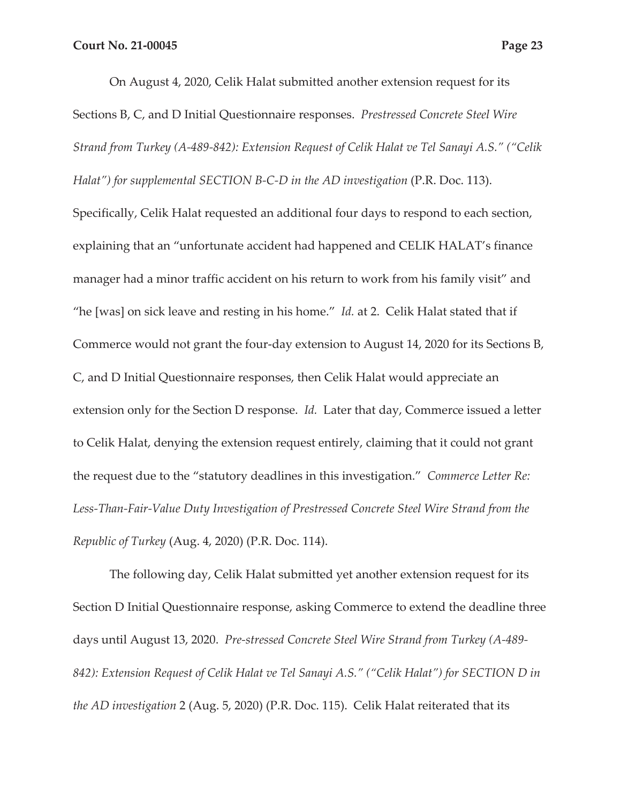On August 4, 2020, Celik Halat submitted another extension request for its Sections B, C, and D Initial Questionnaire responses. *Prestressed Concrete Steel Wire Strand from Turkey (A-489-842): Extension Request of Celik Halat ve Tel Sanayi A.S." ("Celik Halat") for supplemental SECTION B-C-D in the AD investigation* (P.R. Doc. 113). Specifically, Celik Halat requested an additional four days to respond to each section, explaining that an "unfortunate accident had happened and CELIK HALAT's finance manager had a minor traffic accident on his return to work from his family visit" and "he [was] on sick leave and resting in his home." *Id.* at 2. Celik Halat stated that if Commerce would not grant the four-day extension to August 14, 2020 for its Sections B, C, and D Initial Questionnaire responses, then Celik Halat would appreciate an extension only for the Section D response. *Id.* Later that day, Commerce issued a letter to Celik Halat, denying the extension request entirely, claiming that it could not grant the request due to the "statutory deadlines in this investigation." *Commerce Letter Re: Less-Than-Fair-Value Duty Investigation of Prestressed Concrete Steel Wire Strand from the Republic of Turkey* (Aug. 4, 2020) (P.R. Doc. 114).

The following day, Celik Halat submitted yet another extension request for its Section D Initial Questionnaire response, asking Commerce to extend the deadline three days until August 13, 2020. *Pre-stressed Concrete Steel Wire Strand from Turkey (A-489- 842): Extension Request of Celik Halat ve Tel Sanayi A.S." ("Celik Halat") for SECTION D in the AD investigation* 2 (Aug. 5, 2020) (P.R. Doc. 115). Celik Halat reiterated that its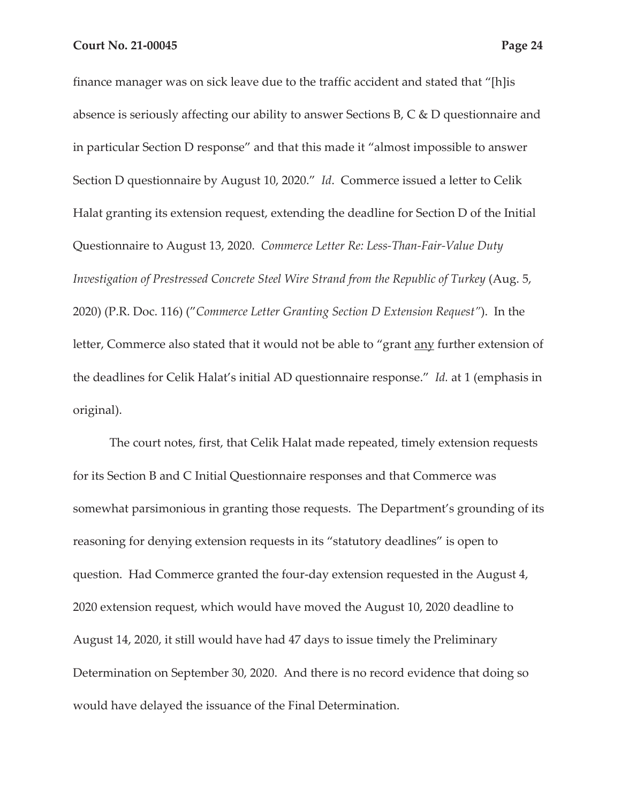finance manager was on sick leave due to the traffic accident and stated that "[h]is absence is seriously affecting our ability to answer Sections B, C & D questionnaire and in particular Section D response" and that this made it "almost impossible to answer Section D questionnaire by August 10, 2020." *Id*. Commerce issued a letter to Celik Halat granting its extension request, extending the deadline for Section D of the Initial Questionnaire to August 13, 2020. *Commerce Letter Re: Less-Than-Fair-Value Duty Investigation of Prestressed Concrete Steel Wire Strand from the Republic of Turkey* (Aug. 5, 2020) (P.R. Doc. 116) ("*Commerce Letter Granting Section D Extension Request"*). In the letter, Commerce also stated that it would not be able to "grant <u>any</u> further extension of the deadlines for Celik Halat's initial AD questionnaire response." *Id.* at 1 (emphasis in original).

The court notes, first, that Celik Halat made repeated, timely extension requests for its Section B and C Initial Questionnaire responses and that Commerce was somewhat parsimonious in granting those requests. The Department's grounding of its reasoning for denying extension requests in its "statutory deadlines" is open to question. Had Commerce granted the four-day extension requested in the August 4, 2020 extension request, which would have moved the August 10, 2020 deadline to August 14, 2020, it still would have had 47 days to issue timely the Preliminary Determination on September 30, 2020. And there is no record evidence that doing so would have delayed the issuance of the Final Determination.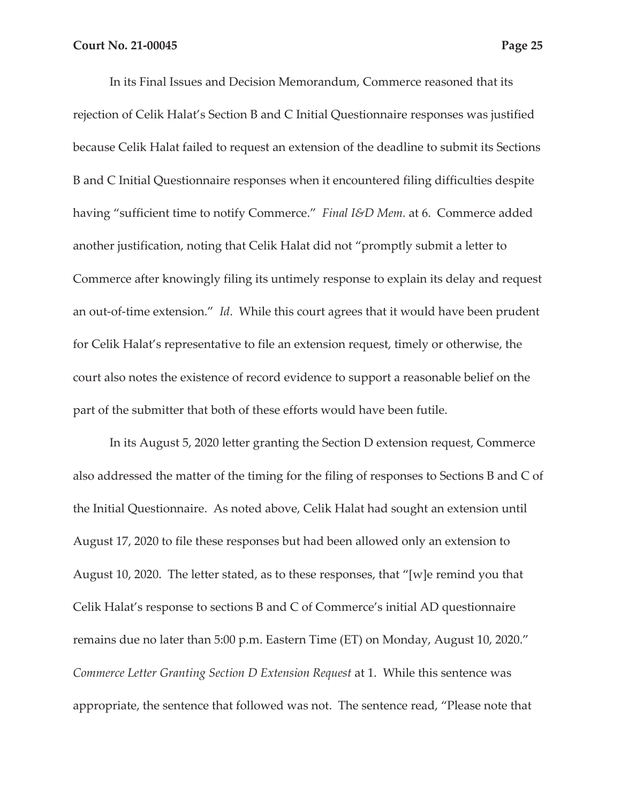In its Final Issues and Decision Memorandum, Commerce reasoned that its rejection of Celik Halat's Section B and C Initial Questionnaire responses was justified because Celik Halat failed to request an extension of the deadline to submit its Sections B and C Initial Questionnaire responses when it encountered filing difficulties despite having "sufficient time to notify Commerce." *Final I&D Mem.* at 6. Commerce added another justification, noting that Celik Halat did not "promptly submit a letter to Commerce after knowingly filing its untimely response to explain its delay and request an out-of-time extension." *Id*. While this court agrees that it would have been prudent for Celik Halat's representative to file an extension request, timely or otherwise, the court also notes the existence of record evidence to support a reasonable belief on the part of the submitter that both of these efforts would have been futile.

In its August 5, 2020 letter granting the Section D extension request, Commerce also addressed the matter of the timing for the filing of responses to Sections B and C of the Initial Questionnaire. As noted above, Celik Halat had sought an extension until August 17, 2020 to file these responses but had been allowed only an extension to August 10, 2020. The letter stated, as to these responses, that "[w]e remind you that Celik Halat's response to sections B and C of Commerce's initial AD questionnaire remains due no later than 5:00 p.m. Eastern Time (ET) on Monday, August 10, 2020." *Commerce Letter Granting Section D Extension Request* at 1. While this sentence was appropriate, the sentence that followed was not. The sentence read, "Please note that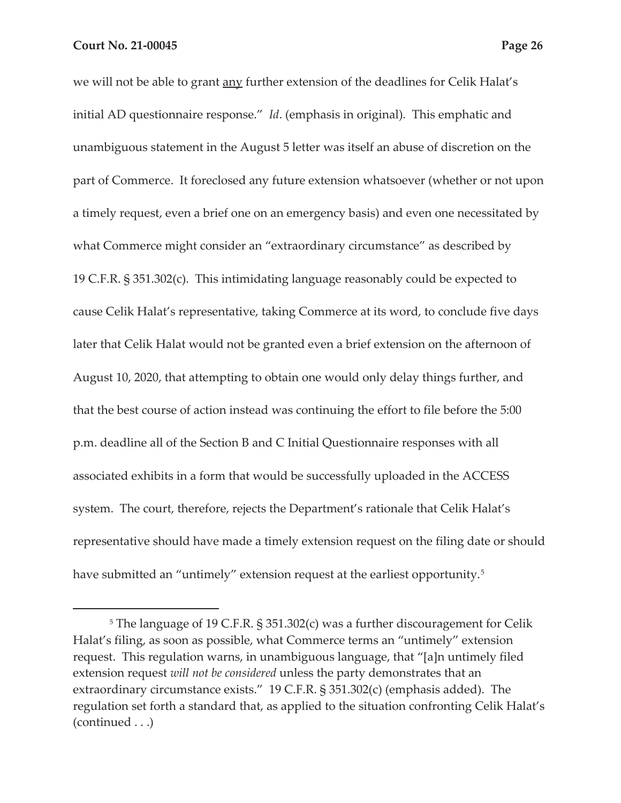we will not be able to grant any further extension of the deadlines for Celik Halat's initial AD questionnaire response." *Id*. (emphasis in original)*.* This emphatic and unambiguous statement in the August 5 letter was itself an abuse of discretion on the part of Commerce. It foreclosed any future extension whatsoever (whether or not upon a timely request, even a brief one on an emergency basis) and even one necessitated by what Commerce might consider an "extraordinary circumstance" as described by 19 C.F.R. § 351.302(c). This intimidating language reasonably could be expected to cause Celik Halat's representative, taking Commerce at its word, to conclude five days later that Celik Halat would not be granted even a brief extension on the afternoon of August 10, 2020, that attempting to obtain one would only delay things further, and that the best course of action instead was continuing the effort to file before the 5:00 p.m. deadline all of the Section B and C Initial Questionnaire responses with all associated exhibits in a form that would be successfully uploaded in the ACCESS system. The court, therefore, rejects the Department's rationale that Celik Halat's representative should have made a timely extension request on the filing date or should have submitted an "untimely" extension request at the earliest opportunity.<sup>5</sup>

<sup>5</sup> The language of 19 C.F.R. § 351.302(c) was a further discouragement for Celik Halat's filing, as soon as possible, what Commerce terms an "untimely" extension request. This regulation warns, in unambiguous language, that "[a]n untimely filed extension request *will not be considered* unless the party demonstrates that an extraordinary circumstance exists." 19 C.F.R. § 351.302(c) (emphasis added). The regulation set forth a standard that, as applied to the situation confronting Celik Halat's (continued . . .)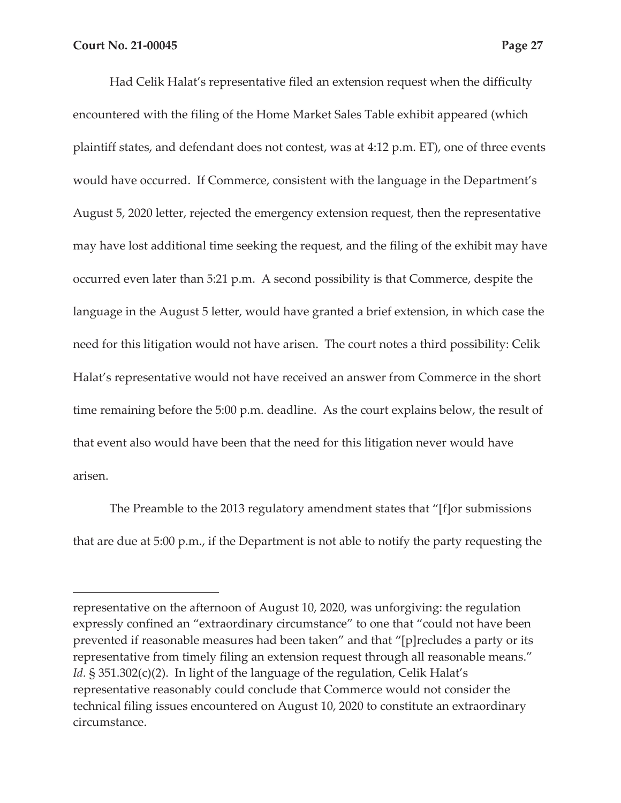Had Celik Halat's representative filed an extension request when the difficulty encountered with the filing of the Home Market Sales Table exhibit appeared (which plaintiff states, and defendant does not contest, was at 4:12 p.m. ET), one of three events would have occurred. If Commerce, consistent with the language in the Department's August 5, 2020 letter, rejected the emergency extension request, then the representative may have lost additional time seeking the request, and the filing of the exhibit may have occurred even later than 5:21 p.m. A second possibility is that Commerce, despite the language in the August 5 letter, would have granted a brief extension, in which case the need for this litigation would not have arisen. The court notes a third possibility: Celik Halat's representative would not have received an answer from Commerce in the short time remaining before the 5:00 p.m. deadline. As the court explains below, the result of that event also would have been that the need for this litigation never would have arisen.

The Preamble to the 2013 regulatory amendment states that "[f]or submissions that are due at 5:00 p.m., if the Department is not able to notify the party requesting the

representative on the afternoon of August 10, 2020, was unforgiving: the regulation expressly confined an "extraordinary circumstance" to one that "could not have been prevented if reasonable measures had been taken" and that "[p]recludes a party or its representative from timely filing an extension request through all reasonable means." *Id.* § 351.302(c)(2). In light of the language of the regulation, Celik Halat's representative reasonably could conclude that Commerce would not consider the technical filing issues encountered on August 10, 2020 to constitute an extraordinary circumstance.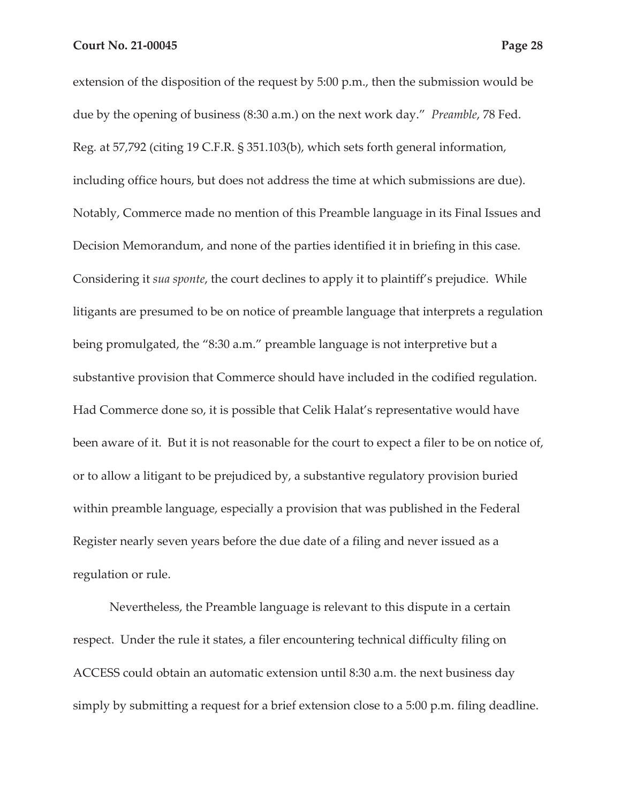extension of the disposition of the request by 5:00 p.m., then the submission would be due by the opening of business (8:30 a.m.) on the next work day." *Preamble*, 78 Fed. Reg*.* at 57,792 (citing 19 C.F.R. § 351.103(b), which sets forth general information, including office hours, but does not address the time at which submissions are due). Notably, Commerce made no mention of this Preamble language in its Final Issues and Decision Memorandum, and none of the parties identified it in briefing in this case. Considering it *sua sponte*, the court declines to apply it to plaintiff's prejudice. While litigants are presumed to be on notice of preamble language that interprets a regulation being promulgated, the "8:30 a.m." preamble language is not interpretive but a substantive provision that Commerce should have included in the codified regulation. Had Commerce done so, it is possible that Celik Halat's representative would have been aware of it. But it is not reasonable for the court to expect a filer to be on notice of, or to allow a litigant to be prejudiced by, a substantive regulatory provision buried within preamble language, especially a provision that was published in the Federal Register nearly seven years before the due date of a filing and never issued as a regulation or rule.

Nevertheless, the Preamble language is relevant to this dispute in a certain respect. Under the rule it states, a filer encountering technical difficulty filing on ACCESS could obtain an automatic extension until 8:30 a.m. the next business day simply by submitting a request for a brief extension close to a 5:00 p.m. filing deadline.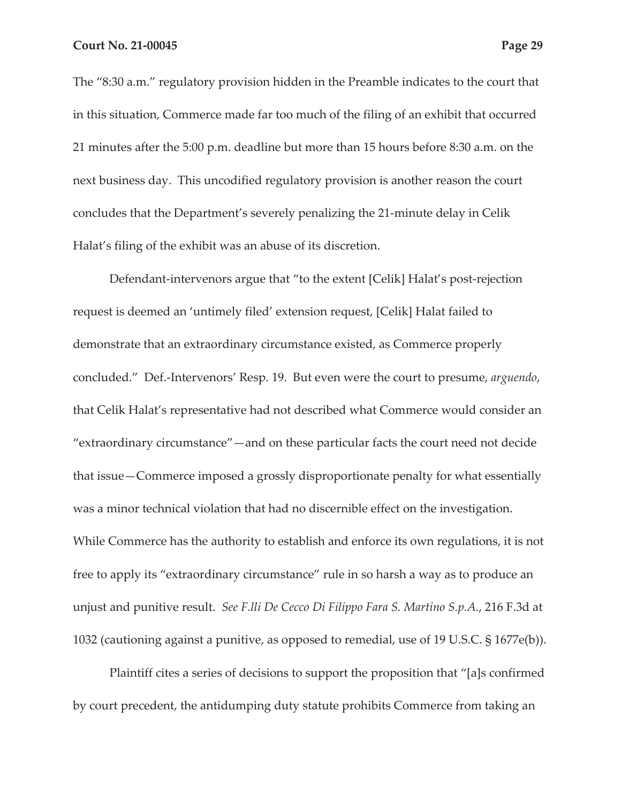The "8:30 a.m." regulatory provision hidden in the Preamble indicates to the court that in this situation, Commerce made far too much of the filing of an exhibit that occurred 21 minutes after the 5:00 p.m. deadline but more than 15 hours before 8:30 a.m. on the next business day. This uncodified regulatory provision is another reason the court concludes that the Department's severely penalizing the 21-minute delay in Celik

Halat's filing of the exhibit was an abuse of its discretion.

Defendant-intervenors argue that "to the extent [Celik] Halat's post-rejection request is deemed an 'untimely filed' extension request, [Celik] Halat failed to demonstrate that an extraordinary circumstance existed, as Commerce properly concluded." Def.-Intervenors' Resp. 19. But even were the court to presume, *arguendo*, that Celik Halat's representative had not described what Commerce would consider an "extraordinary circumstance"—and on these particular facts the court need not decide that issue—Commerce imposed a grossly disproportionate penalty for what essentially was a minor technical violation that had no discernible effect on the investigation. While Commerce has the authority to establish and enforce its own regulations, it is not free to apply its "extraordinary circumstance" rule in so harsh a way as to produce an unjust and punitive result. *See F.lli De Cecco Di Filippo Fara S. Martino S.p.A.*, 216 F.3d at 1032 (cautioning against a punitive, as opposed to remedial, use of 19 U.S.C. § 1677e(b)).

Plaintiff cites a series of decisions to support the proposition that "[a]s confirmed by court precedent, the antidumping duty statute prohibits Commerce from taking an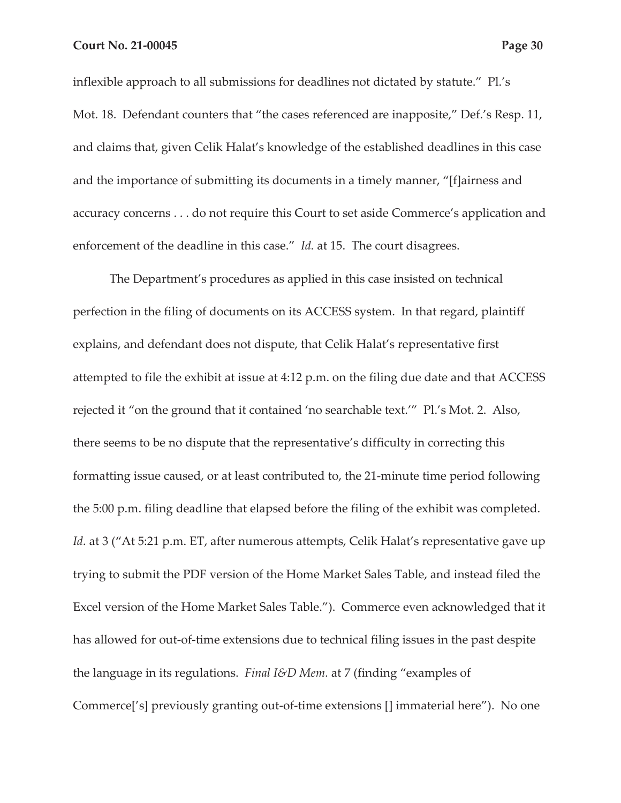inflexible approach to all submissions for deadlines not dictated by statute." Pl.'s Mot. 18. Defendant counters that "the cases referenced are inapposite," Def.'s Resp. 11, and claims that, given Celik Halat's knowledge of the established deadlines in this case and the importance of submitting its documents in a timely manner, "[f]airness and accuracy concerns . . . do not require this Court to set aside Commerce's application and enforcement of the deadline in this case." *Id.* at 15. The court disagrees.

The Department's procedures as applied in this case insisted on technical perfection in the filing of documents on its ACCESS system. In that regard, plaintiff explains, and defendant does not dispute, that Celik Halat's representative first attempted to file the exhibit at issue at 4:12 p.m. on the filing due date and that ACCESS rejected it "on the ground that it contained 'no searchable text.'" Pl.'s Mot. 2. Also, there seems to be no dispute that the representative's difficulty in correcting this formatting issue caused, or at least contributed to, the 21-minute time period following the 5:00 p.m. filing deadline that elapsed before the filing of the exhibit was completed. Id. at 3 ("At 5:21 p.m. ET, after numerous attempts, Celik Halat's representative gave up trying to submit the PDF version of the Home Market Sales Table, and instead filed the Excel version of the Home Market Sales Table."). Commerce even acknowledged that it has allowed for out-of-time extensions due to technical filing issues in the past despite the language in its regulations. *Final I&D Mem.* at 7 (finding "examples of Commerce['s] previously granting out-of-time extensions [] immaterial here"). No one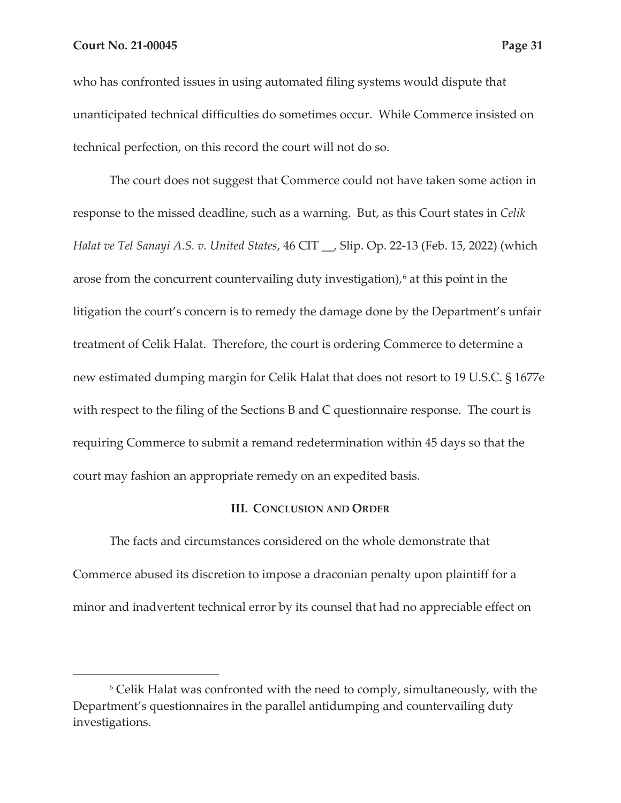who has confronted issues in using automated filing systems would dispute that unanticipated technical difficulties do sometimes occur. While Commerce insisted on technical perfection, on this record the court will not do so.

The court does not suggest that Commerce could not have taken some action in response to the missed deadline, such as a warning. But, as this Court states in *Celik Halat ve Tel Sanayi A.S. v. United States*, 46 CIT \_\_, Slip. Op. 22-13 (Feb. 15, 2022) (which arose from the concurrent countervailing duty investigation), $6$  at this point in the litigation the court's concern is to remedy the damage done by the Department's unfair treatment of Celik Halat. Therefore, the court is ordering Commerce to determine a new estimated dumping margin for Celik Halat that does not resort to 19 U.S.C. § 1677e with respect to the filing of the Sections B and C questionnaire response. The court is requiring Commerce to submit a remand redetermination within 45 days so that the court may fashion an appropriate remedy on an expedited basis.

#### **III. CONCLUSION AND ORDER**

The facts and circumstances considered on the whole demonstrate that Commerce abused its discretion to impose a draconian penalty upon plaintiff for a minor and inadvertent technical error by its counsel that had no appreciable effect on

<sup>6</sup> Celik Halat was confronted with the need to comply, simultaneously, with the Department's questionnaires in the parallel antidumping and countervailing duty investigations.